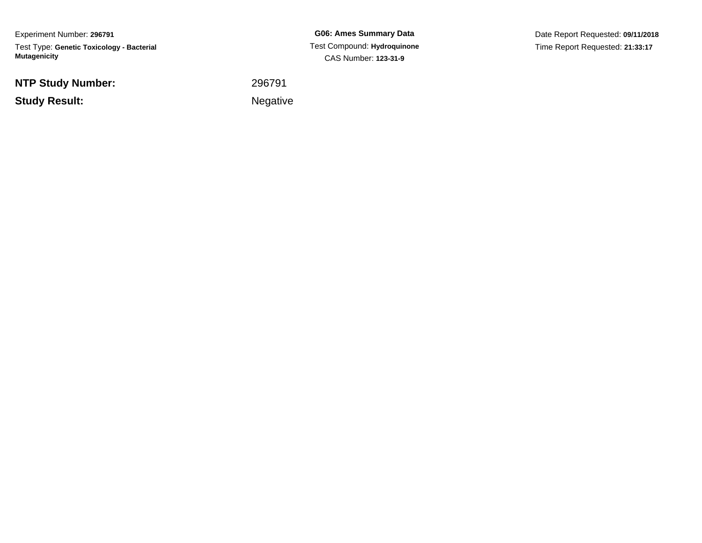Experiment Number: **296791**Test Type: **Genetic Toxicology - Bacterial Mutagenicity**

**NTP Study Number:**

**Study Result:**

**G06: Ames Summary Data** Test Compound: **Hydroquinone**CAS Number: **123-31-9**

Date Report Requested: **09/11/2018**Time Report Requested: **21:33:17**

 <sup>296791</sup>Negative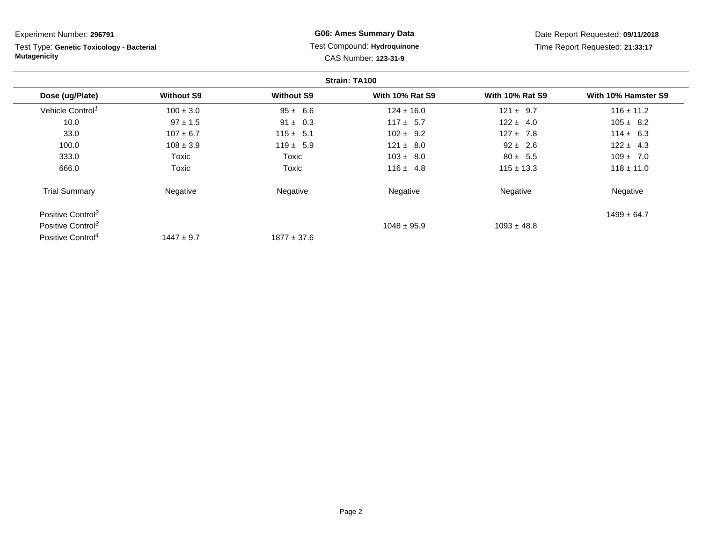**Strain: TA100Dose (ug/Plate) Without S9 Without S9 With 10% Rat S9 With 10% Rat S9 With 10% Hamster S9** Vehicle Control<sup>1</sup>  $100 \pm 3.0$  95 ± 6.6 124 ± 16.0 121 ± 9.7 116 ± 11.2 10.00 5 = 97 ± 1.5 91 ± 0.3 117 ± 5.7 122 ± 4.0 105 ± 8.2 33.00 107 ± 6.7 115 ± 5.1 102 ± 9.2 127 ± 7.8 114 ± 6.3 100.00 108 ± 3.9 119 ± 5.9 121 ± 8.0 92 ± 2.6 122 ± 4.3 333.0 Toxic Toxic 103 ± 8.0 80 ± 5.5 109 ± 7.0 666.0 Toxic Toxic 116 ± 4.8 115 ± 13.3 118 ± 11.0 Trial Summary Negativee **Negative Regative** Negative Negative Negative Regative Negative Positive Control<sup>2</sup> 2 and  $1499 \pm 64.7$ Positive Control<sup>3</sup>  $1048 \pm 95.9$  $1093 \pm 48.8$ Positive Control<sup>4</sup>  $1447 \pm 9.7$  $1877 \pm 37.6$ Experiment Number: **296791**Test Type: **Genetic Toxicology - BacterialMutagenicityG06: Ames Summary Data** Test Compound: **Hydroquinone**CAS Number: **123-31-9**Date Report Requested: **09/11/2018**Time Report Requested: **21:33:17**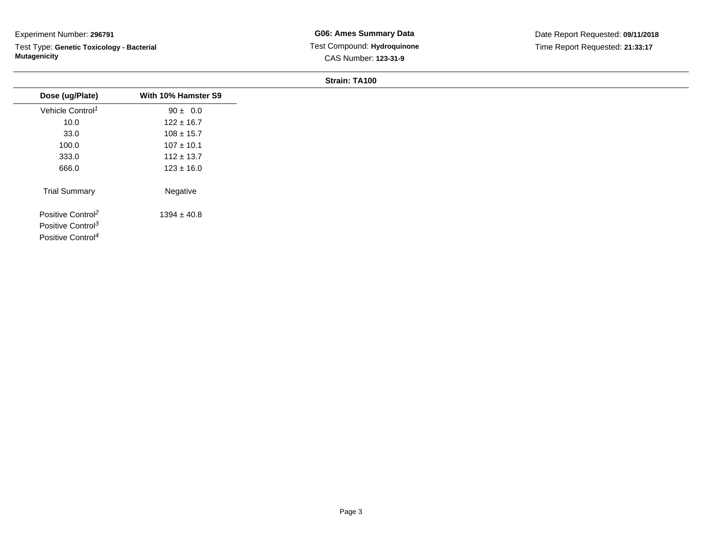Test Type: **Genetic Toxicology - Bacterial Mutagenicity**

| Dose (ug/Plate)                                                                                 | With 10% Hamster S9 |
|-------------------------------------------------------------------------------------------------|---------------------|
| Vehicle Control <sup>1</sup>                                                                    | $90 \pm 0.0$        |
| 10.0                                                                                            | $122 \pm 16.7$      |
| 33.0                                                                                            | $108 \pm 15.7$      |
| 100.0                                                                                           | $107 \pm 10.1$      |
| 333.0                                                                                           | $112 \pm 13.7$      |
| 666.0                                                                                           | $123 \pm 16.0$      |
| <b>Trial Summary</b>                                                                            | Negative            |
| Positive Control <sup>2</sup><br>Positive Control <sup>3</sup><br>Positive Control <sup>4</sup> | $1394 \pm 40.8$     |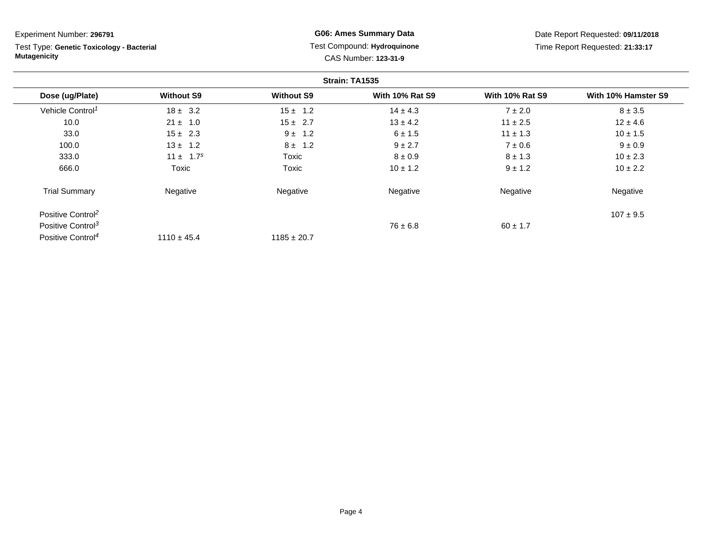**Strain: TA1535Dose (ug/Plate) Without S9 Without S9 With 10% Rat S9 With 10% Rat S9 With 10% Hamster S9** Vehicle Control<sup>1</sup>  $18 \pm 3.2$ 2  $15 \pm 1.2$   $14 \pm 4.3$   $7 \pm 2.0$   $8 \pm 3.5$ 10.00  $21 \pm 1.0$   $15 \pm 2.7$   $13 \pm 4.2$   $11 \pm 2.5$   $12 \pm 4.6$ 33.00 15 ± 2.3  $9 \pm 1.2$  6 ± 1.5 11 ± 1.3 10 ± 1.5 100.00  $13 \pm 1.2$   $8 \pm 1.2$   $9 \pm 2.7$   $7 \pm 0.6$   $9 \pm 0.9$ 333.00  $11 \pm 1.7^s$  Toxic  $8 \pm 0.9$   $8 \pm 1.3$   $10 \pm 2.3$ 666.0 Toxic Toxic 10 ± 1.2 9 ± 1.2 10 ± 2.2 Trial Summary Negativee **Negative Regative** Negative Negative Negative Regative Negative Positive Control<sup>2</sup>  $\frac{107 \pm 9.5}{107 \pm 9.5}$ Positive Control<sup>3</sup>  $76 \pm 6.8$  $76 \pm 6.8$  60 ± 1.7 Positive Control<sup>4</sup>  $1110 \pm 45.4$  $1185 \pm 20.7$ Experiment Number: **296791**Test Type: **Genetic Toxicology - BacterialMutagenicityG06: Ames Summary Data** Test Compound: **Hydroquinone**CAS Number: **123-31-9**Date Report Requested: **09/11/2018**Time Report Requested: **21:33:17**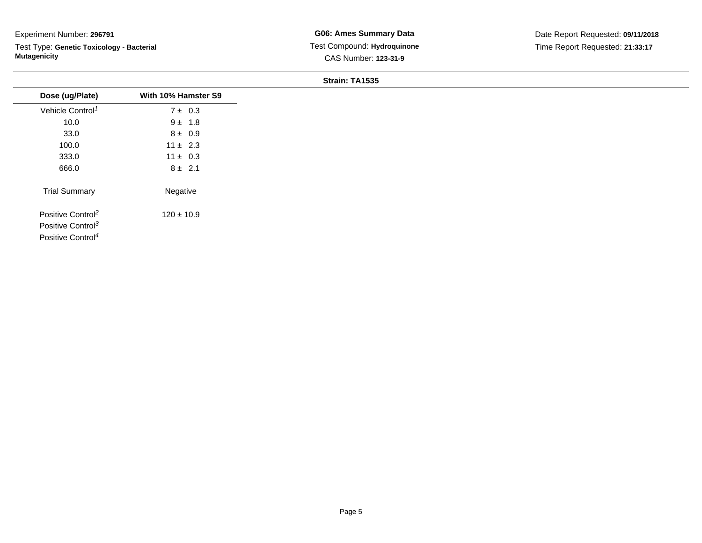Test Type: **Genetic Toxicology - Bacterial Mutagenicity**

**G06: Ames Summary Data** Test Compound: **Hydroquinone**CAS Number: **123-31-9**

| Dose (ug/Plate)               | With 10% Hamster S9 |
|-------------------------------|---------------------|
| Vehicle Control <sup>1</sup>  | $7 \pm 0.3$         |
| 10.0                          | $9 \pm 1.8$         |
| 33.0                          | $8 \pm 0.9$         |
| 100.0                         | $11 \pm 2.3$        |
| 333.0                         | $11 \pm 0.3$        |
| 666.0                         | $8 \pm 2.1$         |
| <b>Trial Summary</b>          | Negative            |
| Positive Control <sup>2</sup> | $120 \pm 10.9$      |
| Positive Control <sup>3</sup> |                     |
| Positive Control <sup>4</sup> |                     |
|                               |                     |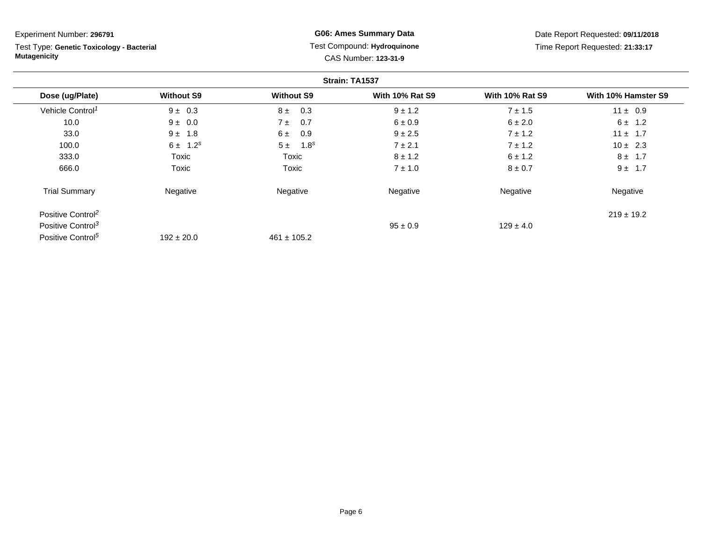**Strain: TA1537Dose (ug/Plate) Without S9 Without S9 With 10% Rat S9 With 10% Rat S9 With 10% Hamster S9** Vehicle Control<sup>1</sup>  $9 \pm 0.3$ 3  $8 \pm 0.3$   $9 \pm 1.2$   $7 \pm 1.5$   $11 \pm 0.9$ 10.00  $9 \pm 0.0$   $7 \pm 0.7$   $6 \pm 0.9$   $6 \pm 2.0$   $6 \pm 1.2$ 33.00  $9 \pm 1.8$  6  $\pm 0.9$   $9 \pm 2.5$  7  $\pm 1.2$  11  $\pm 1.7$ 100.00  $6 \pm 1.2^s$   $5 \pm 1.8^s$   $7 \pm 2.1$   $7 \pm 1.2$   $10 \pm 2.3$ 333.0 Toxic Toxic 8 ± 1.2 6 ± 1.2 8 ± 1.7 666.0 Toxic Toxic 7 ± 1.0 8 ± 0.7 9 ± 1.7 Trial Summary Negativee **Negative Regative** Negative Negative Negative Regative Negative Positive Control<sup>2</sup> 219 ± 19.2 Positive Control<sup>3</sup>  $\frac{95 \pm 0.9}{25 \pm 0.9}$  $95 \pm 0.9$  129  $\pm 4.0$ Positive Control<sup>5</sup>  $192 \pm 20.0$  $461 \pm 105.2$ Experiment Number: **296791**Test Type: **Genetic Toxicology - BacterialMutagenicityG06: Ames Summary Data** Test Compound: **Hydroquinone**CAS Number: **123-31-9**Date Report Requested: **09/11/2018**Time Report Requested: **21:33:17**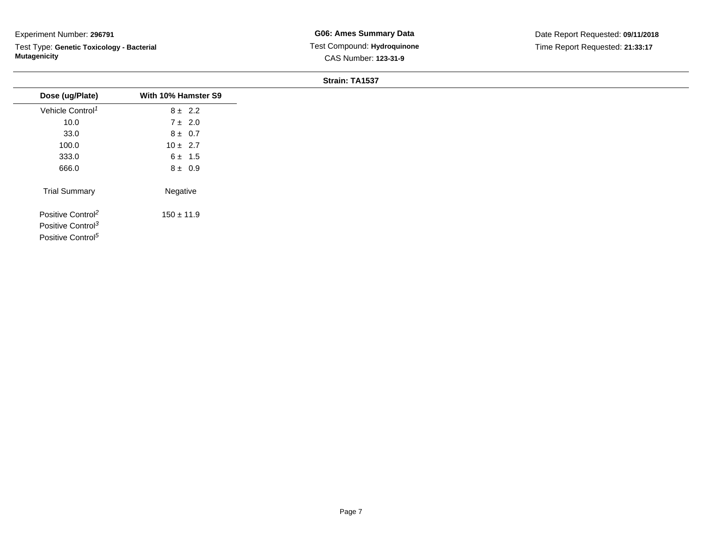Test Type: **Genetic Toxicology - Bacterial Mutagenicity**

| Dose (ug/Plate)               | With 10% Hamster S9 |
|-------------------------------|---------------------|
| Vehicle Control <sup>1</sup>  | $8 \pm 2.2$         |
| 10.0                          | $7 \pm 2.0$         |
| 33.0                          | $8 \pm 0.7$         |
| 100.0                         | $10 \pm 2.7$        |
| 333.0                         | $6 \pm 1.5$         |
| 666.0                         | $8 \pm 0.9$         |
| <b>Trial Summary</b>          | Negative            |
| Positive Control <sup>2</sup> | $150 \pm 11.9$      |
| Positive Control <sup>3</sup> |                     |
| Positive Control <sup>5</sup> |                     |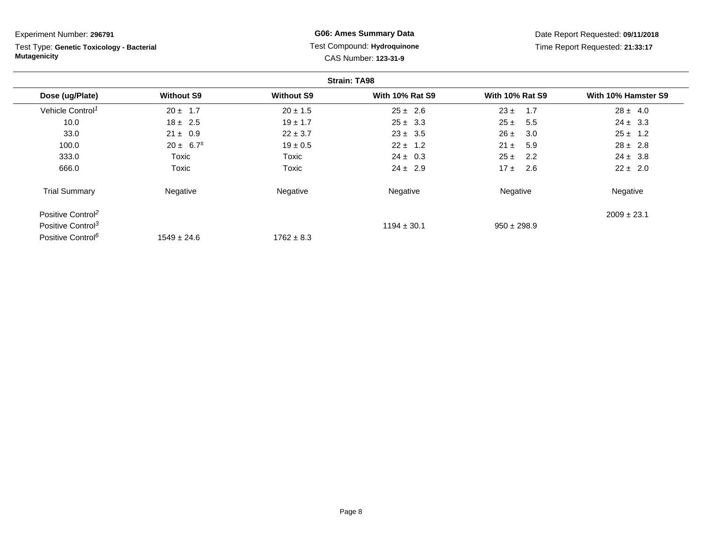| Experiment Number: 296791                                        |                           | <b>G06: Ames Summary Data</b>                       |                        | Date Report Requested: 09/11/2018 |                     |
|------------------------------------------------------------------|---------------------------|-----------------------------------------------------|------------------------|-----------------------------------|---------------------|
| Test Type: Genetic Toxicology - Bacterial<br><b>Mutagenicity</b> |                           | Test Compound: Hydroquinone<br>CAS Number: 123-31-9 |                        | Time Report Requested: 21:33:17   |                     |
|                                                                  |                           |                                                     | <b>Strain: TA98</b>    |                                   |                     |
| Dose (ug/Plate)                                                  | <b>Without S9</b>         | <b>Without S9</b>                                   | <b>With 10% Rat S9</b> | <b>With 10% Rat S9</b>            | With 10% Hamster S9 |
| Vehicle Control <sup>1</sup>                                     | $20 \pm 1.7$              | $20 \pm 1.5$                                        | $25 \pm 2.6$           | 1.7<br>$23 \pm$                   | $28 \pm 4.0$        |
| 10.0                                                             | $18 \pm 2.5$              | $19 \pm 1.7$                                        | $25 \pm 3.3$           | $25 \pm$<br>5.5                   | $24 \pm 3.3$        |
| 33.0                                                             | $21 \pm 0.9$              | $22 \pm 3.7$                                        | $23 \pm 3.5$           | 3.0<br>$26 \pm$                   | $25 \pm 1.2$        |
| 100.0                                                            | $20 \pm 6.7$ <sup>s</sup> | $19 \pm 0.5$                                        | $22 \pm 1.2$           | $21 \pm$<br>5.9                   | $28 \pm 2.8$        |
| 333.0                                                            | Toxic                     | Toxic                                               | $24 \pm 0.3$           | 2.2<br>$25 \pm$                   | $24 \pm 3.8$        |
| 666.0                                                            | Toxic                     | Toxic                                               | $24 \pm 2.9$           | 2.6<br>$17 \pm$                   | $22 \pm 2.0$        |
| <b>Trial Summary</b>                                             | Negative                  | Negative                                            | Negative               | Negative                          | Negative            |
| Positive Control <sup>2</sup>                                    |                           |                                                     |                        |                                   | $2009 \pm 23.1$     |
| Positive Control <sup>3</sup>                                    |                           |                                                     | $1194 \pm 30.1$        | $950 \pm 298.9$                   |                     |
| Positive Control <sup>6</sup>                                    | $1549 \pm 24.6$           | $1762 \pm 8.3$                                      |                        |                                   |                     |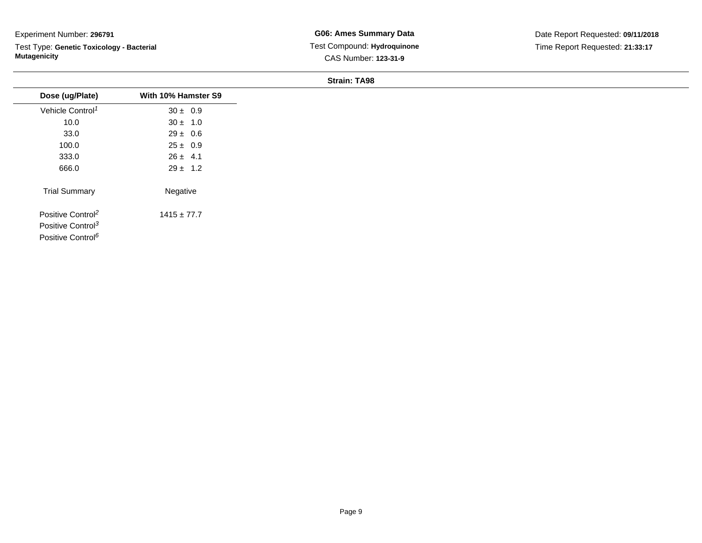Test Type: **Genetic Toxicology - Bacterial Mutagenicity**

**G06: Ames Summary Data** Test Compound: **Hydroquinone**CAS Number: **123-31-9**

| Dose (ug/Plate)               | With 10% Hamster S9 |
|-------------------------------|---------------------|
|                               |                     |
| Vehicle Control <sup>1</sup>  | $30 \pm 0.9$        |
| 10.0                          | $30 \pm 1.0$        |
| 33.0                          | $29 \pm 0.6$        |
| 100.0                         | $25 \pm 0.9$        |
| 333.0                         | $26 \pm 4.1$        |
| 666.0                         | $29 \pm 1.2$        |
| <b>Trial Summary</b>          | Negative            |
| Positive Control <sup>2</sup> | $1415 \pm 77.7$     |
| Positive Control <sup>3</sup> |                     |
| Positive Control <sup>6</sup> |                     |